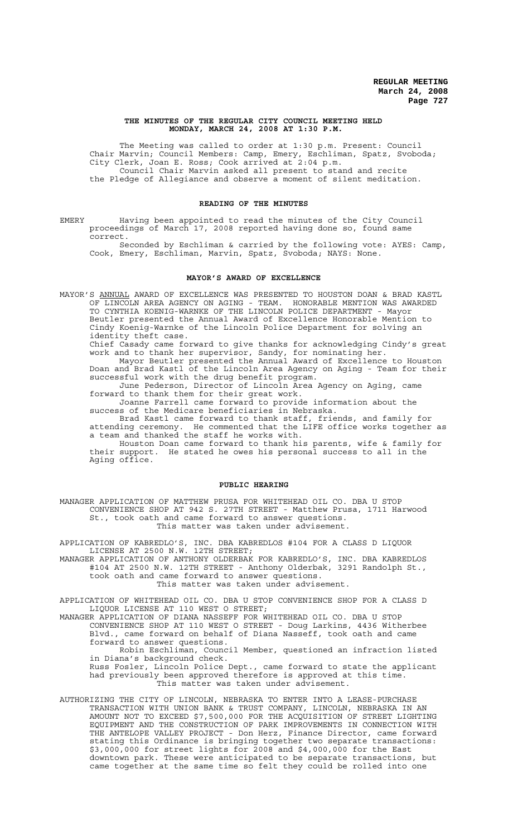### **THE MINUTES OF THE REGULAR CITY COUNCIL MEETING HELD MONDAY, MARCH 24, 2008 AT 1:30 P.M.**

The Meeting was called to order at 1:30 p.m. Present: Council Chair Marvin; Council Members: Camp, Emery, Eschliman, Spatz, Svoboda; City Clerk, Joan E. Ross; Cook arrived at 2:04 p.m. Council Chair Marvin asked all present to stand and recite the Pledge of Allegiance and observe a moment of silent meditation.

## **READING OF THE MINUTES**

EMERY Having been appointed to read the minutes of the City Council proceedings of March 17, 2008 reported having done so, found same correct.

Seconded by Eschliman & carried by the following vote: AYES: Camp, Cook, Emery, Eschliman, Marvin, Spatz, Svoboda; NAYS: None.

## **MAYOR'S AWARD OF EXCELLENCE**

MAYOR'S ANNUAL AWARD OF EXCELLENCE WAS PRESENTED TO HOUSTON DOAN & BRAD KASTL OF LINCOLN AREA AGENCY ON AGING - TEAM. HONORABLE MENTION WAS AWARDED TO CYNTHIA KOENIG-WARNKE OF THE LINCOLN POLICE DEPARTMENT - Mayor Beutler presented the Annual Award of Excellence Honorable Mention to Cindy Koenig-Warnke of the Lincoln Police Department for solving an identity theft case.

Chief Casady came forward to give thanks for acknowledging Cindy's great work and to thank her supervisor, Sandy, for nominating her.

Mayor Beutler presented the Annual Award of Excellence to Houston Doan and Brad Kastl of the Lincoln Area Agency on Aging - Team for their successful work with the drug benefit program.

June Pederson, Director of Lincoln Area Agency on Aging, came forward to thank them for their great work.

Joanne Farrell came forward to provide information about the success of the Medicare beneficiaries in Nebraska.

Brad Kastl came forward to thank staff, friends, and family for attending ceremony. He commented that the LIFE office works together as a team and thanked the staff he works with.

Houston Doan came forward to thank his parents, wife & family for their support. He stated he owes his personal success to all in the Aging office.

### **PUBLIC HEARING**

MANAGER APPLICATION OF MATTHEW PRUSA FOR WHITEHEAD OIL CO. DBA U STOP CONVENIENCE SHOP AT 942 S. 27TH STREET - Matthew Prusa, 1711 Harwood St., took oath and came forward to answer questions. This matter was taken under advisement.

APPLICATION OF KABREDLO'S, INC. DBA KABREDLOS #104 FOR A CLASS D LIQUOR LICENSE AT 2500 N.W. 12TH STREET;

MANAGER APPLICATION OF ANTHONY OLDERBAK FOR KABREDLO'S, INC. DBA KABREDLOS #104 AT 2500 N.W. 12TH STREET - Anthony Olderbak, 3291 Randolph St., took oath and came forward to answer questions.

This matter was taken under advisement.

APPLICATION OF WHITEHEAD OIL CO. DBA U STOP CONVENIENCE SHOP FOR A CLASS D LIQUOR LICENSE AT 110 WEST O STREET;

MANAGER APPLICATION OF DIANA NASSEFF FOR WHITEHEAD OIL CO. DBA U STOP CONVENIENCE SHOP AT 110 WEST O STREET - Doug Larkins, 4436 Witherbee Blvd., came forward on behalf of Diana Nasseff, took oath and came forward to answer questions.

Robin Eschliman, Council Member, questioned an infraction listed in Diana's background check.

Russ Fosler, Lincoln Police Dept., came forward to state the applicant had previously been approved therefore is approved at this time. This matter was taken under advisement.

AUTHORIZING THE CITY OF LINCOLN, NEBRASKA TO ENTER INTO A LEASE-PURCHASE TRANSACTION WITH UNION BANK & TRUST COMPANY, LINCOLN, NEBRASKA IN AN AMOUNT NOT TO EXCEED \$7,500,000 FOR THE ACQUISITION OF STREET LIGHTING EQUIPMENT AND THE CONSTRUCTION OF PARK IMPROVEMENTS IN CONNECTION WITH THE ANTELOPE VALLEY PROJECT - Don Herz, Finance Director, came forward stating this Ordinance is bringing together two separate transactions: \$3,000,000 for street lights for 2008 and \$4,000,000 for the East downtown park. These were anticipated to be separate transactions, but came together at the same time so felt they could be rolled into one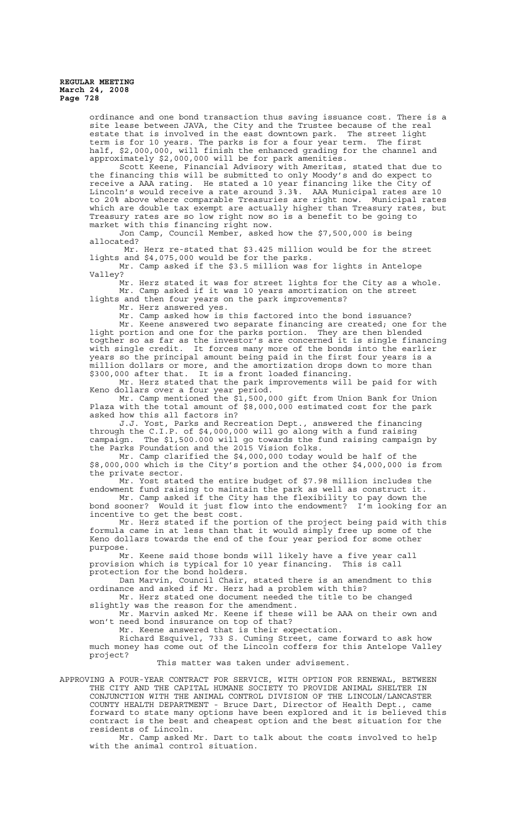ordinance and one bond transaction thus saving issuance cost. There is a site lease between JAVA, the City and the Trustee because of the real estate that is involved in the east downtown park. The street light term is for 10 years. The parks is for a four year term. The first half, \$2,000,000, will finish the enhanced grading for the channel and approximately \$2,000,000 will be for park amenities.

Scott Keene, Financial Advisory with Ameritas, stated that due to the financing this will be submitted to only Moody's and do expect to receive a AAA rating. He stated a 10 year financing like the City of Lincoln's would receive a rate around 3.3%. AAA Municipal rates are 10 to 20% above where comparable Treasuries are right now. Municipal rates which are double tax exempt are actually higher than Treasury rates, but Treasury rates are so low right now so is a benefit to be going to market with this financing right now.

Jon Camp, Council Member, asked how the \$7,500,000 is being allocated?

 Mr. Herz re-stated that \$3.425 million would be for the street lights and \$4,075,000 would be for the parks.

Mr. Camp asked if the \$3.5 million was for lights in Antelope Valley?

Mr. Herz stated it was for street lights for the City as a whole. Mr. Camp asked if it was 10 years amortization on the street lights and then four years on the park improvements?

Mr. Herz answered yes.

Mr. Camp asked how is this factored into the bond issuance? Mr. Keene answered two separate financing are created; one for the light portion and one for the parks portion. They are then blended togther so as far as the investor's are concerned it is single financing with single credit. It forces many more of the bonds into the earlier years so the principal amount being paid in the first four years is a million dollars or more, and the amortization drops down to more than \$300,000 after that. It is a front loaded financing.

Mr. Herz stated that the park improvements will be paid for with Keno dollars over a four year period.

Mr. Camp mentioned the \$1,500,000 gift from Union Bank for Union Plaza with the total amount of \$8,000,000 estimated cost for the park asked how this all factors in?

J.J. Yost, Parks and Recreation Dept., answered the financing through the C.I.P. of \$4,000,000 will go along with a fund raising campaign. The \$1,500.000 will go towards the fund raising campaign by the Parks Foundation and the 2015 Vision folks.

Mr. Camp clarified the \$4,000,000 today would be half of the \$8,000,000 which is the City's portion and the other \$4,000,000 is from the private sector.

Mr. Yost stated the entire budget of \$7.98 million includes the endowment fund raising to maintain the park as well as construct it.

Mr. Camp asked if the City has the flexibility to pay down the bond sooner? Would it just flow into the endowment? I'm looking for an incentive to get the best cost.

Mr. Herz stated if the portion of the project being paid with this formula came in at less than that it would simply free up some of the Keno dollars towards the end of the four year period for some other purpose.

Mr. Keene said those bonds will likely have a five year call provision which is typical for 10 year financing. This is call protection for the bond holders.

Dan Marvin, Council Chair, stated there is an amendment to this ordinance and asked if Mr. Herz had a problem with this?

Mr. Herz stated one document needed the title to be changed slightly was the reason for the amendment.

Mr. Marvin asked Mr. Keene if these will be AAA on their own and won't need bond insurance on top of that?

Mr. Keene answered that is their expectation.

Richard Esquivel, 733 S. Cuming Street, came forward to ask how much money has come out of the Lincoln coffers for this Antelope Valley project?

This matter was taken under advisement.

APPROVING A FOUR-YEAR CONTRACT FOR SERVICE, WITH OPTION FOR RENEWAL, BETWEEN THE CITY AND THE CAPITAL HUMANE SOCIETY TO PROVIDE ANIMAL SHELTER IN CONJUNCTION WITH THE ANIMAL CONTROL DIVISION OF THE LINCOLN/LANCASTER COUNTY HEALTH DEPARTMENT - Bruce Dart, Director of Health Dept., came forward to state many options have been explored and it is believed this contract is the best and cheapest option and the best situation for the residents of Lincoln.

Mr. Camp asked Mr. Dart to talk about the costs involved to help with the animal control situation.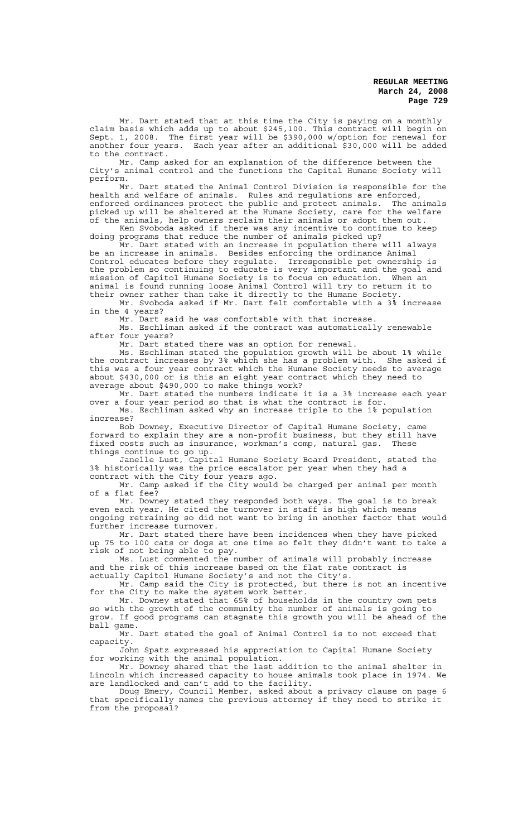Mr. Dart stated that at this time the City is paying on a monthly claim basis which adds up to about \$245,100. This contract will begin on Sept. 1, 2008. The first year will be \$390,000 w/option for renewal for another four years. Each year after an additional \$30,000 will be added to the contract.

Mr. Camp asked for an explanation of the difference between the City's animal control and the functions the Capital Humane Society will perform.

Mr. Dart stated the Animal Control Division is responsible for the health and welfare of animals. Rules and regulations are enforced, enforced ordinances protect the public and protect animals. The animals picked up will be sheltered at the Humane Society, care for the welfare of the animals, help owners reclaim their animals or adopt them out. Ken Svoboda asked if there was any incentive to continue to keep

doing programs that reduce the number of animals picked up? Mr. Dart stated with an increase in population there will always be an increase in animals. Besides enforcing the ordinance Animal Control educates before they regulate. Irresponsible pet ownership is the problem so continuing to educate is very important and the goal and mission of Capitol Humane Society is to focus on education. When an animal is found running loose Animal Control will try to return it to their owner rather than take it directly to the Humane Society.

Mr. Svoboda asked if Mr. Dart felt comfortable with a 3% increase in the 4 years?

Mr. Dart said he was comfortable with that increase. Ms. Eschliman asked if the contract was automatically renewable after four years?

Mr. Dart stated there was an option for renewal.

Ms. Eschliman stated the population growth will be about 1% while the contract increases by 3% which she has a problem with. She asked if this was a four year contract which the Humane Society needs to average about \$430,000 or is this an eight year contract which they need to average about \$490,000 to make things work?

Mr. Dart stated the numbers indicate it is a 3% increase each year over a four year period so that is what the contract is for.

Ms. Eschliman asked why an increase triple to the 1% population increase?

Bob Downey, Executive Director of Capital Humane Society, came forward to explain they are a non-profit business, but they still have fixed costs such as insurance, workman's comp, natural gas. These things continue to go up.

Janelle Lust, Capital Humane Society Board President, stated the 3% historically was the price escalator per year when they had a contract with the City four years ago.

Mr. Camp asked if the City would be charged per animal per month of a flat fee?

Mr. Downey stated they responded both ways. The goal is to break even each year. He cited the turnover in staff is high which means ongoing retraining so did not want to bring in another factor that would further increase turnover.

Mr. Dart stated there have been incidences when they have picked up 75 to 100 cats or dogs at one time so felt they didn't want to take a risk of not being able to pay.

Ms. Lust commented the number of animals will probably increase and the risk of this increase based on the flat rate contract is actually Capitol Humane Society's and not the City's.

Mr. Camp said the City is protected, but there is not an incentive for the City to make the system work better.

Mr. Downey stated that 65% of households in the country own pets so with the growth of the community the number of animals is going to grow. If good programs can stagnate this growth you will be ahead of the ball game.

Mr. Dart stated the goal of Animal Control is to not exceed that capacity.

John Spatz expressed his appreciation to Capital Humane Society for working with the animal population.

Mr. Downey shared that the last addition to the animal shelter in Lincoln which increased capacity to house animals took place in 1974. We are landlocked and can't add to the facility.

Doug Emery, Council Member, asked about a privacy clause on page 6 that specifically names the previous attorney if they need to strike it from the proposal?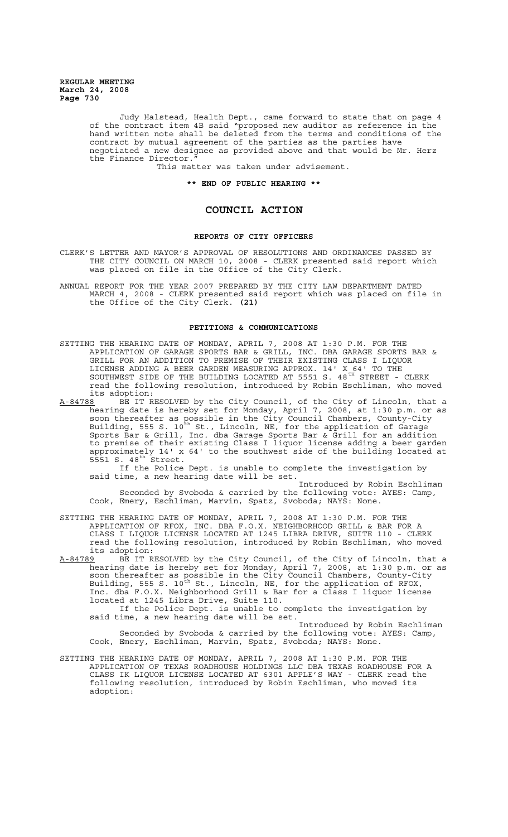> Judy Halstead, Health Dept., came forward to state that on page 4 of the contract item 4B said "proposed new auditor as reference in the hand written note shall be deleted from the terms and conditions of the contract by mutual agreement of the parties as the parties have negotiated a new designee as provided above and that would be Mr. Herz the Finance Director."

This matter was taken under advisement.

## **\*\* END OF PUBLIC HEARING \*\***

# **COUNCIL ACTION**

### **REPORTS OF CITY OFFICERS**

- CLERK'S LETTER AND MAYOR'S APPROVAL OF RESOLUTIONS AND ORDINANCES PASSED BY THE CITY COUNCIL ON MARCH 10, 2008 - CLERK presented said report which was placed on file in the Office of the City Clerk.
- ANNUAL REPORT FOR THE YEAR 2007 PREPARED BY THE CITY LAW DEPARTMENT DATED MARCH 4, 2008 - CLERK presented said report which was placed on file in the Office of the City Clerk. **(21)**

## **PETITIONS & COMMUNICATIONS**

- SETTING THE HEARING DATE OF MONDAY, APRIL 7, 2008 AT 1:30 P.M. FOR THE APPLICATION OF GARAGE SPORTS BAR & GRILL, INC. DBA GARAGE SPORTS BAR & GRILL FOR AN ADDITION TO PREMISE OF THEIR EXISTING CLASS I LIQUOR LICENSE ADDING A BEER GARDEN MEASURING APPROX. 14' X 64' TO THE SOUTHWEST SIDE OF THE BUILDING LOCATED AT 5551 S. 48 $^{\tt TH}$  STREET - CLERK read the following resolution, introduced by Robin Eschliman, who moved its adoption:<br>A-84788 BE IT R
- A-84788 BE IT RESOLVED by the City Council, of the City of Lincoln, that a hearing date is hereby set for Monday, April 7, 2008, at 1:30 p.m. or as soon thereafter as possible in the City Council Chambers, County-City Building, 555 S. 10<sup>th</sup> St., Lincoln, NE, for the application of Garage Sports Bar & Grill, Inc. dba Garage Sports Bar & Grill for an addition to premise of their existing Class I liquor license adding a beer garden approximately 14' x 64' to the southwest side of the building located at  $5551 S. 48$ <sup>th</sup> Street.

If the Police Dept. is unable to complete the investigation by said time, a new hearing date will be set.

Introduced by Robin Eschliman Seconded by Svoboda & carried by the following vote: AYES: Camp, Cook, Emery, Eschliman, Marvin, Spatz, Svoboda; NAYS: None.

SETTING THE HEARING DATE OF MONDAY, APRIL 7, 2008 AT 1:30 P.M. FOR THE APPLICATION OF RFOX, INC. DBA F.O.X. NEIGHBORHOOD GRILL & BAR FOR A CLASS I LIQUOR LICENSE LOCATED AT 1245 LIBRA DRIVE, SUITE 110 - CLERK read the following resolution, introduced by Robin Eschliman, who moved its adoption:

A-84789 BE IT RESOLVED by the City Council, of the City of Lincoln, that a hearing date is hereby set for Monday, April 7, 2008, at 1:30 p.m. or as soon thereafter as possible in the City Council Chambers, County-City Building, 555 S. 10<sup>th</sup> St., Lincoln, NE, for the application of RFOX, Inc. dba F.O.X. Neighborhood Grill & Bar for a Class I liquor license located at 1245 Libra Drive, Suite 110. If the Police Dept. is unable to complete the investigation by

said time, a new hearing date will be set.

Introduced by Robin Eschliman Seconded by Svoboda & carried by the following vote: AYES: Camp, Cook, Emery, Eschliman, Marvin, Spatz, Svoboda; NAYS: None.

SETTING THE HEARING DATE OF MONDAY, APRIL 7, 2008 AT 1:30 P.M. FOR THE APPLICATION OF TEXAS ROADHOUSE HOLDINGS LLC DBA TEXAS ROADHOUSE FOR A CLASS IK LIQUOR LICENSE LOCATED AT 6301 APPLE'S WAY - CLERK read the following resolution, introduced by Robin Eschliman, who moved its adoption: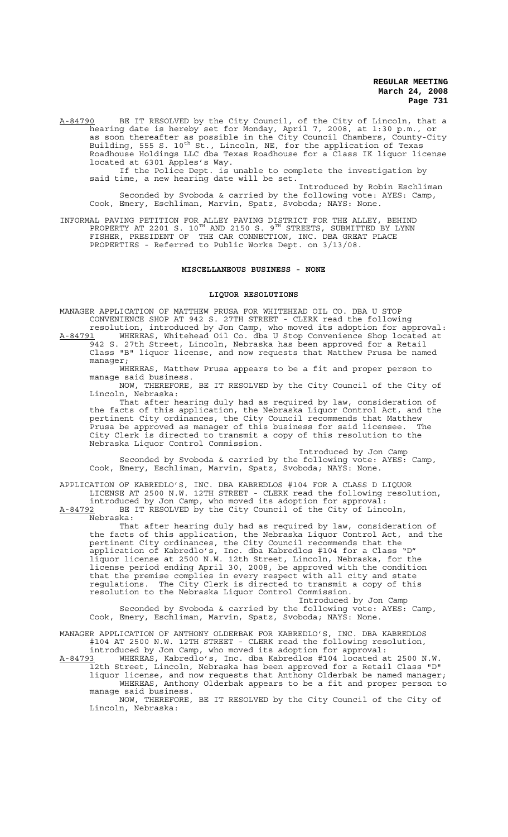A-84790 BE IT RESOLVED by the City Council, of the City of Lincoln, that a hearing date is hereby set for Monday, April 7, 2008, at 1:30 p.m., or as soon thereafter as possible in the City Council Chambers, County-City Building, 555 S. 10<sup>th</sup> St., Lincoln, NE, for the application of Texas Roadhouse Holdings LLC dba Texas Roadhouse for a Class IK liquor license located at 6301 Apples's Way.

If the Police Dept. is unable to complete the investigation by said time, a new hearing date will be set.

Introduced by Robin Eschliman Seconded by Svoboda & carried by the following vote: AYES: Camp, Cook, Emery, Eschliman, Marvin, Spatz, Svoboda; NAYS: None.

INFORMAL PAVING PETITION FOR ALLEY PAVING DISTRICT FOR THE ALLEY, BEHIND PROPERTY AT 2201 S.  $10^{TH}$  AND 2150 S.  $9^{TH}$  STREETS, SUBMITTED BY LYNN FISHER, PRESIDENT OF THE CAR CONNECTION, INC. DBA GREAT PLACE PROPERTIES - Referred to Public Works Dept. on 3/13/08.

# **MISCELLANEOUS BUSINESS - NONE**

#### **LIQUOR RESOLUTIONS**

MANAGER APPLICATION OF MATTHEW PRUSA FOR WHITEHEAD OIL CO. DBA U STOP CONVENIENCE SHOP AT 942 S. 27TH STREET - CLERK read the following

resolution, introduced by Jon Camp, who moved its adoption for approval: A-84791 MHEREAS, Whitehead Oil Co. dba U Stop Convenience Shop located at 942 S. 27th Street, Lincoln, Nebraska has been approved for a Retail Class "B" liquor license, and now requests that Matthew Prusa be named manager;

WHEREAS, Matthew Prusa appears to be a fit and proper person to manage said business.

NOW, THEREFORE, BE IT RESOLVED by the City Council of the City of Lincoln, Nebraska:

That after hearing duly had as required by law, consideration of<br>Acts of this application, the Nebraska Liguor Control Act, and the the facts of this application, the Nebraska Liquor Control Act, and the pertinent City ordinances, the City Council recommends that Matthew Prusa be approved as manager of this business for said licensee. The City Clerk is directed to transmit a copy of this resolution to the Nebraska Liquor Control Commission.

Introduced by Jon Camp Seconded by Svoboda & carried by the following vote: AYES: Camp, Cook, Emery, Eschliman, Marvin, Spatz, Svoboda; NAYS: None.

APPLICATION OF KABREDLO'S, INC. DBA KABREDLOS #104 FOR A CLASS D LIQUOR LICENSE AT 2500 N.W. 12TH STREET - CLERK read the following resolution, introduced by Jon Camp, who moved its adoption for approval:

A-84792 BE IT RESOLVED by the City Council of the City of Lincoln, Nebraska:

That after hearing duly had as required by law, consideration of the facts of this application, the Nebraska Liquor Control Act, and the pertinent City ordinances, the City Council recommends that the application of Kabredlo's, Inc. dba Kabredlos #104 for a Class "D" liquor license at 2500 N.W. 12th Street, Lincoln, Nebraska, for the license period ending April 30, 2008, be approved with the condition that the premise complies in every respect with all city and state regulations. The City Clerk is directed to transmit a copy of this resolution to the Nebraska Liquor Control Commission.

Introduced by Jon Camp Seconded by Svoboda & carried by the following vote: AYES: Camp, Cook, Emery, Eschliman, Marvin, Spatz, Svoboda; NAYS: None.

MANAGER APPLICATION OF ANTHONY OLDERBAK FOR KABREDLO'S, INC. DBA KABREDLOS #104 AT 2500 N.W. 12TH STREET - CLERK read the following resolution, introduced by Jon Camp, who moved its adoption for approval:

A-84793 WHEREAS, Kabredlo's, Inc. dba Kabredlos #104 located at 2500 N.W. 12th Street, Lincoln, Nebraska has been approved for a Retail Class "D" liquor license, and now requests that Anthony Olderbak be named manager; WHEREAS, Anthony Olderbak appears to be a fit and proper person to manage said business.

NOW, THEREFORE, BE IT RESOLVED by the City Council of the City of Lincoln, Nebraska: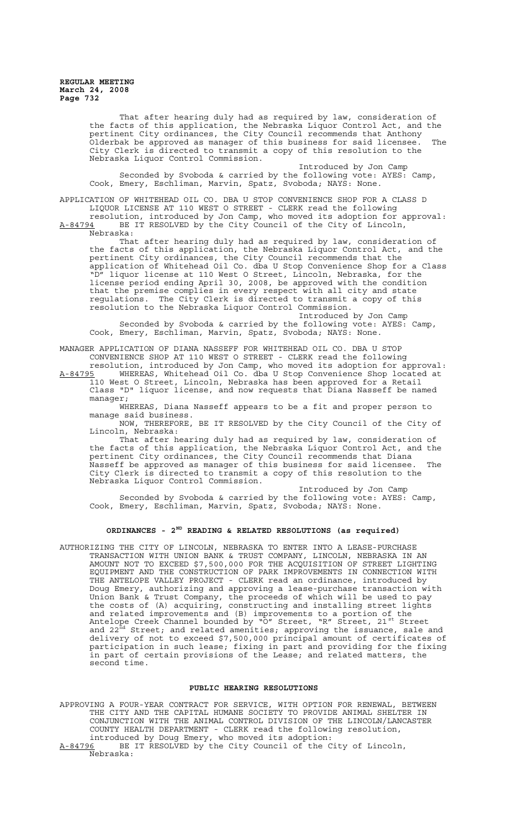> That after hearing duly had as required by law, consideration of the facts of this application, the Nebraska Liquor Control Act, and the pertinent City ordinances, the City Council recommends that Anthony .<br>Olderbak be approved as manager of this business for said licensee. The City Clerk is directed to transmit a copy of this resolution to the Nebraska Liquor Control Commission.

Introduced by Jon Camp Seconded by Svoboda & carried by the following vote: AYES: Camp, Cook, Emery, Eschliman, Marvin, Spatz, Svoboda; NAYS: None.

APPLICATION OF WHITEHEAD OIL CO. DBA U STOP CONVENIENCE SHOP FOR A CLASS D LIQUOR LICENSE AT 110 WEST O STREET - CLERK read the following

resolution, introduced by Jon Camp, who moved its adoption for approval: A-84794 BE IT RESOLVED by the City Council of the City of Lincoln, Nebraska:

That after hearing duly had as required by law, consideration of the facts of this application, the Nebraska Liquor Control Act, and the pertinent City ordinances, the City Council recommends that the application of Whitehead Oil Co. dba U Stop Convenience Shop for a Class "D" liquor license at 110 West O Street, Lincoln, Nebraska, for the license period ending April 30, 2008, be approved with the condition that the premise complies in every respect with all city and state regulations. The City Clerk is directed to transmit a copy of this resolution to the Nebraska Liquor Control Commission.

Introduced by Jon Camp Seconded by Svoboda & carried by the following vote: AYES: Camp, Cook, Emery, Eschliman, Marvin, Spatz, Svoboda; NAYS: None.

MANAGER APPLICATION OF DIANA NASSEFF FOR WHITEHEAD OIL CO. DBA U STOP CONVENIENCE SHOP AT 110 WEST O STREET - CLERK read the following

resolution, introduced by Jon Camp, who moved its adoption for approval: A-84795 MHEREAS, Whitehead Oil Co. dba U Stop Convenience Shop located at A-84795 WHEREAS, Whitehead Oil Co. dba U Stop Convenience Shop located 110 West O Street, Lincoln, Nebraska has been approved for a Retail Class "D" liquor license, and now requests that Diana Nasseff be named

manager; WHEREAS, Diana Nasseff appears to be a fit and proper person to manage said business.

NOW, THEREFORE, BE IT RESOLVED by the City Council of the City of Lincoln, Nebraska:

That after hearing duly had as required by law, consideration of the facts of this application, the Nebraska Liquor Control Act, and the pertinent City ordinances, the City Council recommends that Diana Nasseff be approved as manager of this business for said licensee. The City Clerk is directed to transmit a copy of this resolution to the Nebraska Liquor Control Commission.

Introduced by Jon Camp Seconded by Svoboda & carried by the following vote: AYES: Camp, Cook, Emery, Eschliman, Marvin, Spatz, Svoboda; NAYS: None.

## **ORDINANCES - 2ND READING & RELATED RESOLUTIONS (as required)**

AUTHORIZING THE CITY OF LINCOLN, NEBRASKA TO ENTER INTO A LEASE-PURCHASE TRANSACTION WITH UNION BANK & TRUST COMPANY, LINCOLN, NEBRASKA IN AN AMOUNT NOT TO EXCEED \$7,500,000 FOR THE ACQUISITION OF STREET LIGHTING EQUIPMENT AND THE CONSTRUCTION OF PARK IMPROVEMENTS IN CONNECTION WITH THE ANTELOPE VALLEY PROJECT - CLERK read an ordinance, introduced by Doug Emery, authorizing and approving a lease-purchase transaction with Union Bank & Trust Company, the proceeds of which will be used to pay the costs of (A) acquiring, constructing and installing street lights and related improvements and (B) improvements to a portion of the Antelope Creek Channel bounded by "O" Street, "R" Street, 21<sup>st</sup> Street and 22 $^{\dot{\bar{\text{n}}d}}$  Street; and related amenities; approving the issuance, sale and delivery of not to exceed \$7,500,000 principal amount of certificates of participation in such lease; fixing in part and providing for the fixing in part of certain provisions of the Lease; and related matters, the second time.

## **PUBLIC HEARING RESOLUTIONS**

APPROVING A FOUR-YEAR CONTRACT FOR SERVICE, WITH OPTION FOR RENEWAL, BETWEEN THE CITY AND THE CAPITAL HUMANE SOCIETY TO PROVIDE ANIMAL SHELTER IN CONJUNCTION WITH THE ANIMAL CONTROL DIVISION OF THE LINCOLN/LANCASTER COUNTY HEALTH DEPARTMENT - CLERK read the following resolution, introduced by Doug Emery, who moved its adoption: A-84796 BE IT RESOLVED by the City Council of the City of Lincoln, Nebraska: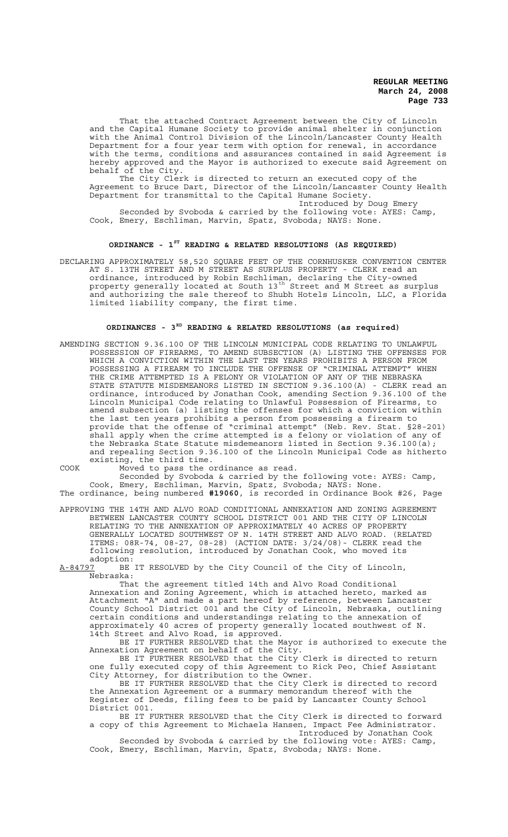That the attached Contract Agreement between the City of Lincoln and the Capital Humane Society to provide animal shelter in conjunction with the Animal Control Division of the Lincoln/Lancaster County Health Department for a four year term with option for renewal, in accordance with the terms, conditions and assurances contained in said Agreement is hereby approved and the Mayor is authorized to execute said Agreement on behalf of the City.

The City Clerk is directed to return an executed copy of the Agreement to Bruce Dart, Director of the Lincoln/Lancaster County Health Department for transmittal to the Capital Humane Society.

Introduced by Doug Emery Seconded by Svoboda & carried by the following vote: AYES: Camp, Cook, Emery, Eschliman, Marvin, Spatz, Svoboda; NAYS: None.

# **ORDINANCE - 1ST READING & RELATED RESOLUTIONS (AS REQUIRED)**

DECLARING APPROXIMATELY 58,520 SQUARE FEET OF THE CORNHUSKER CONVENTION CENTER AT S. 13TH STREET AND M STREET AS SURPLUS PROPERTY - CLERK read an ordinance, introduced by Robin Eschliman, declaring the City-owned property generally located at South 13<sup>th</sup> Street and M Street as surplus and authorizing the sale thereof to Shubh Hotels Lincoln, LLC, a Florida limited liability company, the first time.

# **ORDINANCES - 3RD READING & RELATED RESOLUTIONS (as required)**

AMENDING SECTION 9.36.100 OF THE LINCOLN MUNICIPAL CODE RELATING TO UNLAWFUL POSSESSION OF FIREARMS, TO AMEND SUBSECTION (A) LISTING THE OFFENSES FOR WHICH A CONVICTION WITHIN THE LAST TEN YEARS PROHIBITS A PERSON FROM POSSESSING A FIREARM TO INCLUDE THE OFFENSE OF "CRIMINAL ATTEMPT" WHEN THE CRIME ATTEMPTED IS A FELONY OR VIOLATION OF ANY OF THE NEBRASKA STATE STATUTE MISDEMEANORS LISTED IN SECTION 9.36.100(A) - CLERK read an ordinance, introduced by Jonathan Cook, amending Section 9.36.100 of the Lincoln Municipal Code relating to Unlawful Possession of Firearms, to amend subsection (a) listing the offenses for which a conviction within the last ten years prohibits a person from possessing a firearm to provide that the offense of "criminal attempt" (Neb. Rev. Stat. §28-201) shall apply when the crime attempted is a felony or violation of any of the Nebraska State Statute misdemeanors listed in Section 9.36.100(a); and repealing Section 9.36.100 of the Lincoln Municipal Code as hitherto existing, the third time.

COOK Moved to pass the ordinance as read.

Seconded by Svoboda & carried by the following vote: AYES: Camp, Cook, Emery, Eschliman, Marvin, Spatz, Svoboda; NAYS: None.

The ordinance, being numbered **#19060**, is recorded in Ordinance Book #26, Page

APPROVING THE 14TH AND ALVO ROAD CONDITIONAL ANNEXATION AND ZONING AGREEMENT BETWEEN LANCASTER COUNTY SCHOOL DISTRICT 001 AND THE CITY OF LINCOLN RELATING TO THE ANNEXATION OF APPROXIMATELY 40 ACRES OF PROPERTY GENERALLY LOCATED SOUTHWEST OF N. 14TH STREET AND ALVO ROAD. (RELATED ITEMS: 08R-74, 08-27, 08-28) (ACTION DATE: 3/24/08)- CLERK read the following resolution, introduced by Jonathan Cook, who moved its adoption:

A-84797 BE IT RESOLVED by the City Council of the City of Lincoln, Nebraska:

That the agreement titled 14th and Alvo Road Conditional Annexation and Zoning Agreement, which is attached hereto, marked as Attachment "A" and made a part hereof by reference, between Lancaster County School District 001 and the City of Lincoln, Nebraska, outlining certain conditions and understandings relating to the annexation of approximately 40 acres of property generally located southwest of N. 14th Street and Alvo Road, is approved.

BE IT FURTHER RESOLVED that the Mayor is authorized to execute the Annexation Agreement on behalf of the City.

BE IT FURTHER RESOLVED that the City Clerk is directed to return one fully executed copy of this Agreement to Rick Peo, Chief Assistant City Attorney, for distribution to the Owner.

BE IT FURTHER RESOLVED that the City Clerk is directed to record the Annexation Agreement or a summary memorandum thereof with the Register of Deeds, filing fees to be paid by Lancaster County School District 001.

BE IT FURTHER RESOLVED that the City Clerk is directed to forward a copy of this Agreement to Michaela Hansen, Impact Fee Administrator. Introduced by Jonathan Cook

Seconded by Svoboda & carried by the following vote: AYES: Camp, Cook, Emery, Eschliman, Marvin, Spatz, Svoboda; NAYS: None.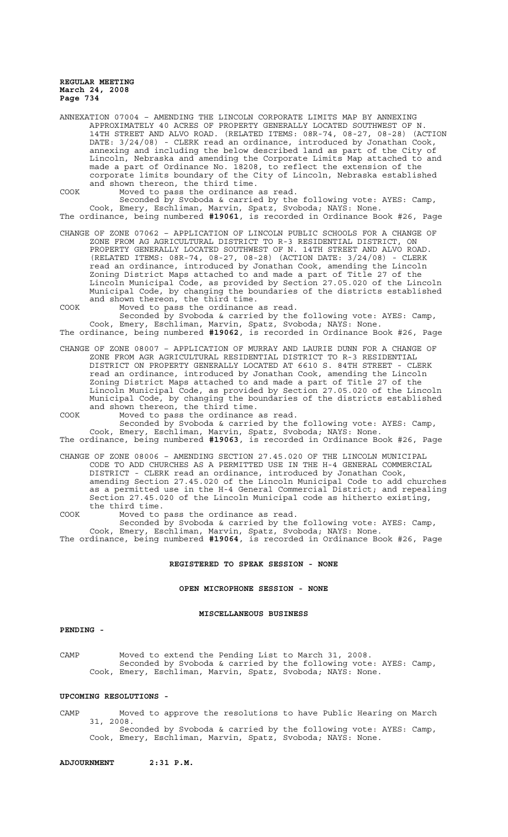ANNEXATION 07004 – AMENDING THE LINCOLN CORPORATE LIMITS MAP BY ANNEXING APPROXIMATELY 40 ACRES OF PROPERTY GENERALLY LOCATED SOUTHWEST OF N. 14TH STREET AND ALVO ROAD. (RELATED ITEMS: 08R-74, 08-27, 08-28) (ACTION DATE: 3/24/08) - CLERK read an ordinance, introduced by Jonathan Cook, annexing and including the below described land as part of the City of Lincoln, Nebraska and amending the Corporate Limits Map attached to and made a part of Ordinance No. 18208, to reflect the extension of the corporate limits boundary of the City of Lincoln, Nebraska established and shown thereon, the third time.

COOK Moved to pass the ordinance as read. Seconded by Svoboda & carried by the following vote: AYES: Camp, Cook, Emery, Eschliman, Marvin, Spatz, Svoboda; NAYS: None.

The ordinance, being numbered **#19061**, is recorded in Ordinance Book #26, Page

CHANGE OF ZONE 07062 – APPLICATION OF LINCOLN PUBLIC SCHOOLS FOR A CHANGE OF ZONE FROM AG AGRICULTURAL DISTRICT TO R-3 RESIDENTIAL DISTRICT, ON PROPERTY GENERALLY LOCATED SOUTHWEST OF N. 14TH STREET AND ALVO ROAD. (RELATED ITEMS: 08R-74, 08-27, 08-28) (ACTION DATE: 3/24/08) - CLERK read an ordinance, introduced by Jonathan Cook, amending the Lincoln Zoning District Maps attached to and made a part of Title 27 of the Lincoln Municipal Code, as provided by Section 27.05.020 of the Lincoln Municipal Code, by changing the boundaries of the districts established and shown thereon, the third time.

COOK Moved to pass the ordinance as read.

Seconded by Svoboda & carried by the following vote: AYES: Camp, Cook, Emery, Eschliman, Marvin, Spatz, Svoboda; NAYS: None. The ordinance, being numbered **#19062**, is recorded in Ordinance Book #26, Page

CHANGE OF ZONE 08007 – APPLICATION OF MURRAY AND LAURIE DUNN FOR A CHANGE OF ZONE FROM AGR AGRICULTURAL RESIDENTIAL DISTRICT TO R-3 RESIDENTIAL DISTRICT ON PROPERTY GENERALLY LOCATED AT 6610 S. 84TH STREET read an ordinance, introduced by Jonathan Cook, amending the Lincoln Zoning District Maps attached to and made a part of Title 27 of the Lincoln Municipal Code, as provided by Section 27.05.020 of the Lincoln Municipal Code, by changing the boundaries of the districts established and shown thereon, the third time.

COOK Moved to pass the ordinance as read.

Seconded by Svoboda & carried by the following vote: AYES: Camp, Cook, Emery, Eschliman, Marvin, Spatz, Svoboda; NAYS: None. The ordinance, being numbered **#19063**, is recorded in Ordinance Book #26, Page

CHANGE OF ZONE 08006 – AMENDING SECTION 27.45.020 OF THE LINCOLN MUNICIPAL CODE TO ADD CHURCHES AS A PERMITTED USE IN THE H-4 GENERAL COMMERCIAL DISTRICT - CLERK read an ordinance, introduced by Jonathan Cook, amending Section 27.45.020 of the Lincoln Municipal Code to add churches as a permitted use in the H-4 General Commercial District; and repealing Section 27.45.020 of the Lincoln Municipal code as hitherto existing, the third time.

COOK Moved to pass the ordinance as read. Seconded by Svoboda & carried by the following vote: AYES: Camp, Cook, Emery, Eschliman, Marvin, Spatz, Svoboda; NAYS: None. The ordinance, being numbered **#19064**, is recorded in Ordinance Book #26, Page

# **REGISTERED TO SPEAK SESSION - NONE**

## **OPEN MICROPHONE SESSION - NONE**

## **MISCELLANEOUS BUSINESS**

## **PENDING -**

CAMP Moved to extend the Pending List to March 31, 2008. Seconded by Svoboda & carried by the following vote: AYES: Camp, Cook, Emery, Eschliman, Marvin, Spatz, Svoboda; NAYS: None.

### **UPCOMING RESOLUTIONS -**

CAMP Moved to approve the resolutions to have Public Hearing on March 31, 2008. Seconded by Svoboda & carried by the following vote: AYES: Camp, Cook, Emery, Eschliman, Marvin, Spatz, Svoboda; NAYS: None.

**ADJOURNMENT 2:31 P.M.**